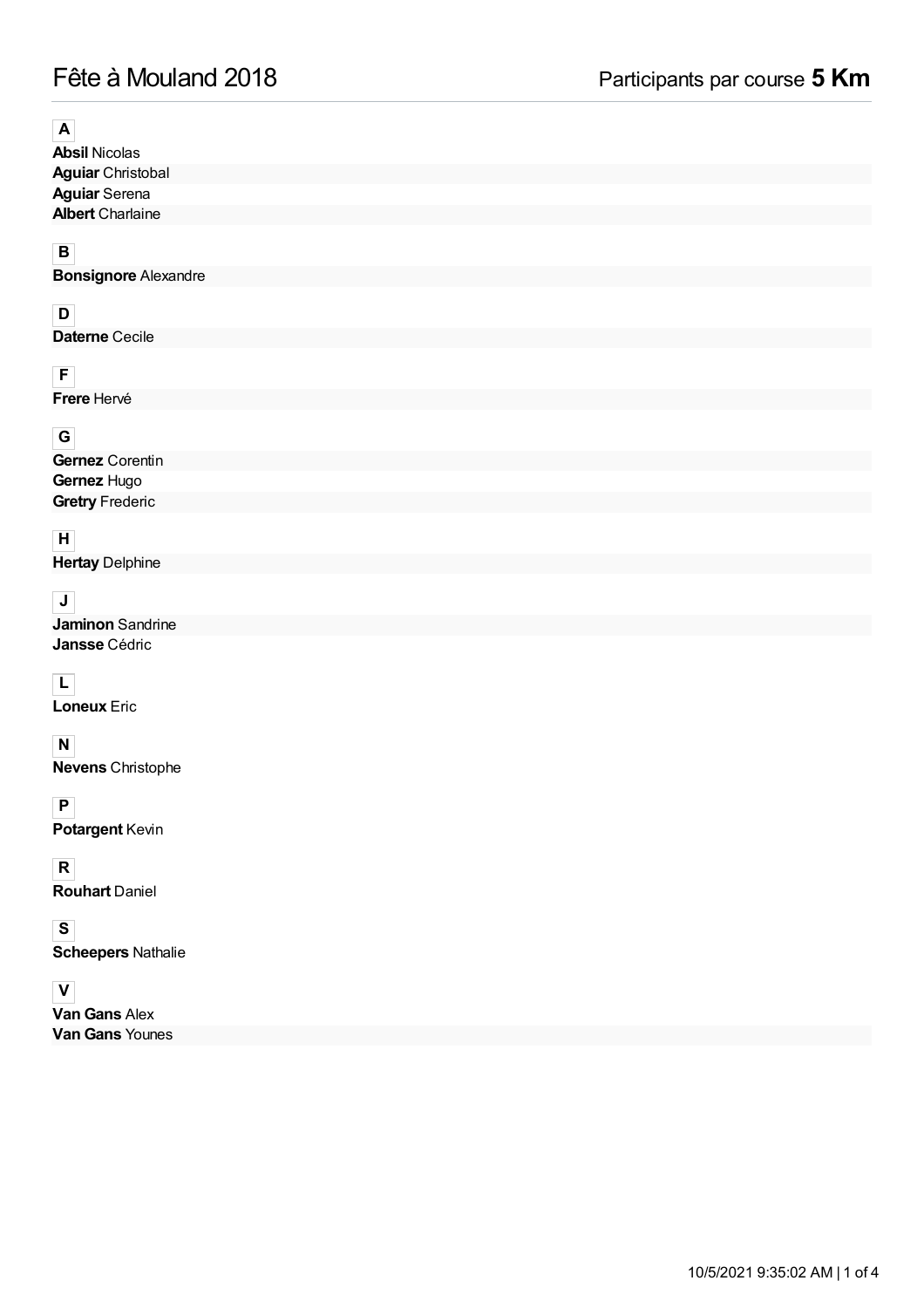# Fête à Mouland 2018 Participants par course **5 Km**

## **A**

**Absil** Nicolas **Aguiar** Christobal **Aguiar** Serena **Albert** Charlaine

## **B**

**Bonsignore** Alexandre

#### **D**

**Daterne** Cecile

## **F**

**Frere** Hervé

## **G**

#### **Gernez** Corentin **Gernez** Hugo **Gretry** Frederic

## **H**

**Hertay** Delphine

## **J**

**Jaminon** Sandrine **Jansse** Cédric

## **L**

**Loneux** Eric

#### **N**

**Nevens** Christophe

#### **P**

**Potargent** Kevin

## **R**

**Rouhart** Daniel

#### **S**

**Scheepers** Nathalie

#### **V**

**Van Gans** Alex **Van Gans** Younes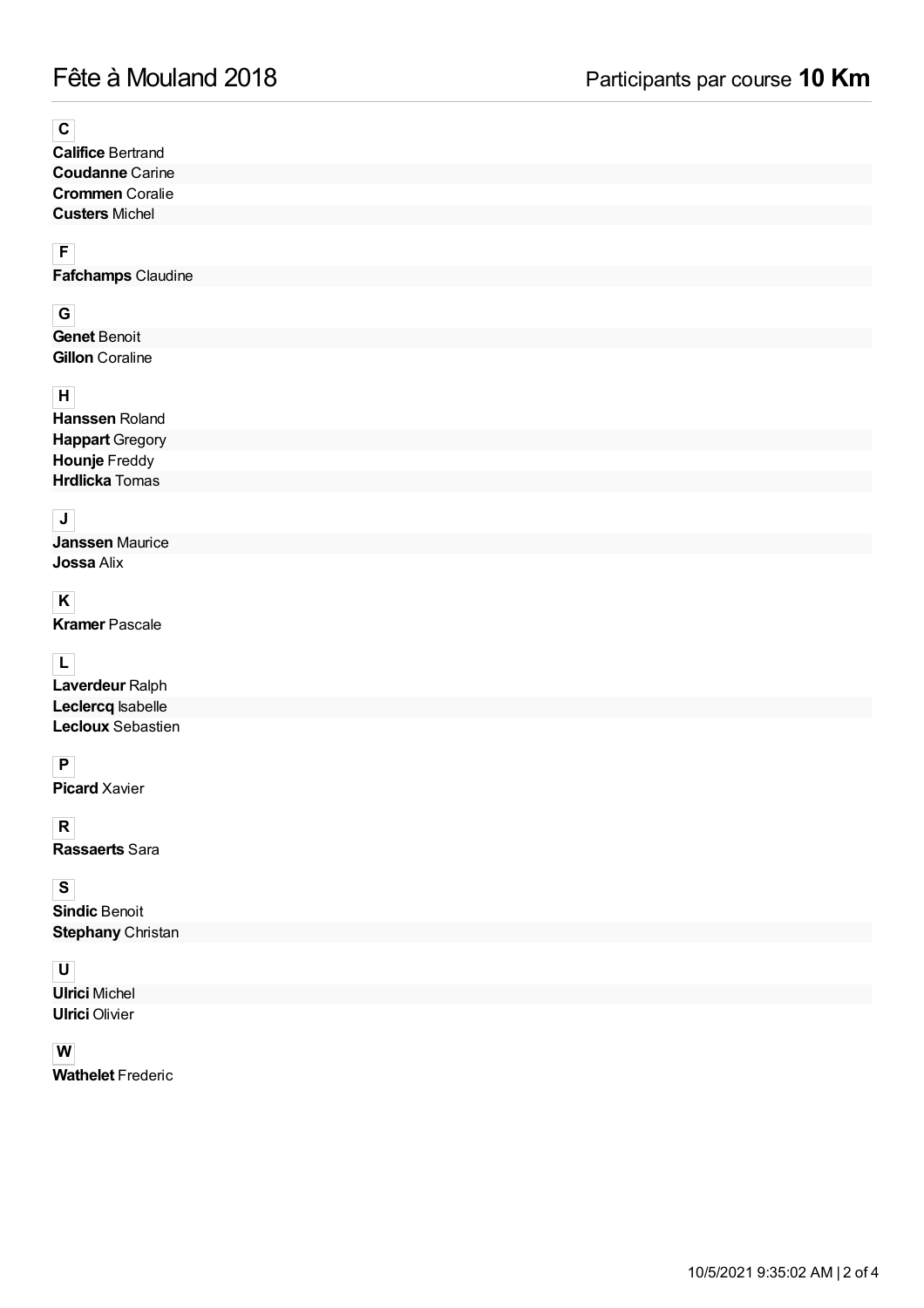**C**

**Califice** Bertrand **Coudanne** Carine **Crommen** Coralie **Custers** Michel

**F**

**Fafchamps** Claudine

## **G**

**Genet** Benoit **Gillon** Coraline

#### **H**

**Hanssen** Roland **Happart** Gregory **Hounje** Freddy **Hrdlicka** Tomas

## **J**

**Janssen** Maurice **Jossa** Alix

## **K**

**Kramer** Pascale

## **L**

**Laverdeur** Ralph **Leclercq** Isabelle **Lecloux** Sebastien

## **P**

**Picard** Xavier

**R**

**Rassaerts** Sara

#### **S**

**Sindic** Benoit **Stephany** Christan

#### **U**

**Ulrici** Michel **Ulrici** Olivier

#### **W**

**Wathelet** Frederic